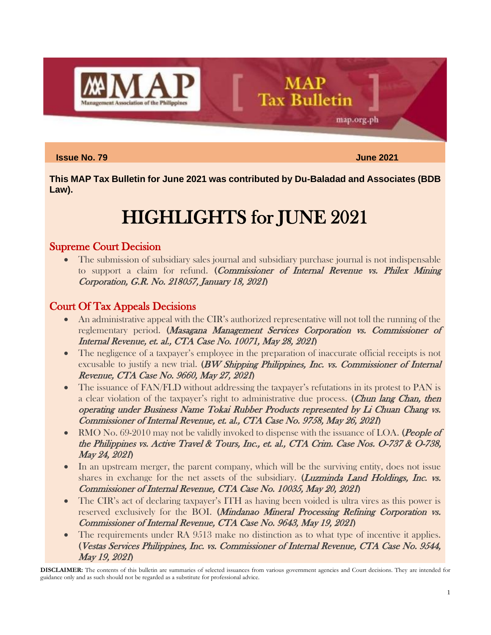

#### **Issue No. 79 June 2021**

map.org.ph

**This MAP Tax Bulletin for June 2021 was contributed by Du-Baladad and Associates (BDB Law).**

**MAP** 

**Tax Bulletin** 

# HIGHLIGHTS for JUNE 2021

# Supreme Court Decision

• The submission of subsidiary sales journal and subsidiary purchase journal is not indispensable to support a claim for refund. (Commissioner of Internal Revenue vs. Philex Mining Corporation, G.R. No. 218057, January 18, 2021)

# Court Of Tax Appeals Decisions

- An administrative appeal with the CIR's authorized representative will not toll the running of the reglementary period. (Masagana Management Services Corporation vs. Commissioner of Internal Revenue, et. al., CTA Case No. 10071, May 28, 2021)
- The negligence of a taxpayer's employee in the preparation of inaccurate official receipts is not excusable to justify a new trial.  $(BW$  Shipping Philippines, Inc. vs. Commissioner of Internal Revenue, CTA Case No. 9660, May 27, 2021)
- The issuance of FAN/FLD without addressing the taxpayer's refutations in its protest to PAN is a clear violation of the taxpayer's right to administrative due process. (Chun lang Chan, then operating under Business Name Tokai Rubber Products represented by Li Chuan Chang vs. Commissioner of Internal Revenue, et. al., CTA Case No. 9758, May 26, 2021)
- RMO No. 69-2010 may not be validly invoked to dispense with the issuance of LOA. (People of the Philippines vs. Active Travel & Tours, Inc., et. al., CTA Crim. Case Nos. O-737 & O-738, May 24, 2021)
- In an upstream merger, the parent company, which will be the surviving entity, does not issue shares in exchange for the net assets of the subsidiary. (*Luzminda Land Holdings, Inc. vs.* Commissioner of Internal Revenue, CTA Case No. 10035, May 20, 2021)
- The CIR's act of declaring taxpayer's ITH as having been voided is ultra vires as this power is reserved exclusively for the BOI. (Mindanao Mineral Processing Refining Corporation vs. Commissioner of Internal Revenue, CTA Case No. 9643, May 19, 2021)
- The requirements under RA 9513 make no distinction as to what type of incentive it applies. (Vestas Services Philippines, Inc. vs. Commissioner of Internal Revenue, CTA Case No. 9544, May 19, 2021)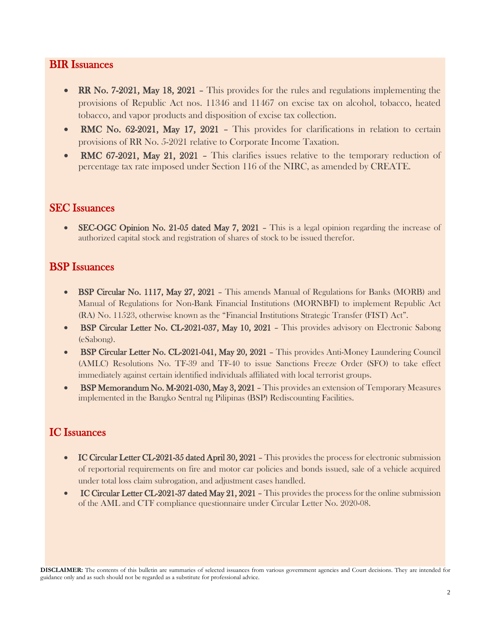## BIR Issuances

- RR No. 7-2021, May 18, 2021 This provides for the rules and regulations implementing the provisions of Republic Act nos. 11346 and 11467 on excise tax on alcohol, tobacco, heated tobacco, and vapor products and disposition of excise tax collection.
- RMC No. 62-2021, May 17, 2021 This provides for clarifications in relation to certain provisions of RR No. 5-2021 relative to Corporate Income Taxation.
- RMC 67-2021, May 21, 2021 This clarifies issues relative to the temporary reduction of percentage tax rate imposed under Section 116 of the NIRC, as amended by CREATE.

## SEC Issuances

**SEC-OGC Opinion No. 21-05 dated May 7, 2021 – This is a legal opinion regarding the increase of** authorized capital stock and registration of shares of stock to be issued therefor.

# BSP Issuances

- BSP Circular No. 1117, May 27, 2021 This amends Manual of Regulations for Banks (MORB) and Manual of Regulations for Non-Bank Financial Institutions (MORNBFI) to implement Republic Act (RA) No. 11523, otherwise known as the "Financial Institutions Strategic Transfer (FIST) Act".
- BSP Circular Letter No. CL-2021-037, May 10, 2021 This provides advisory on Electronic Sabong (eSabong).
- BSP Circular Letter No. CL-2021-041, May 20, 2021 This provides Anti-Money Laundering Council (AMLC) Resolutions No. TF-39 and TF-40 to issue Sanctions Freeze Order (SFO) to take effect immediately against certain identified individuals affiliated with local terrorist groups.
- BSP Memorandum No. M-2021-030, May 3, 2021 This provides an extension of Temporary Measures implemented in the Bangko Sentral ng Pilipinas (BSP) Rediscounting Facilities.

# IC Issuances

- IC Circular Letter CL-2021-35 dated April 30, 2021 This provides the process for electronic submission of reportorial requirements on fire and motor car policies and bonds issued, sale of a vehicle acquired under total loss claim subrogation, and adjustment cases handled.
- IC Circular Letter CL-2021-37 dated May 21, 2021 This provides the process for the online submission of the AML and CTF compliance questionnaire under Circular Letter No. 2020-08.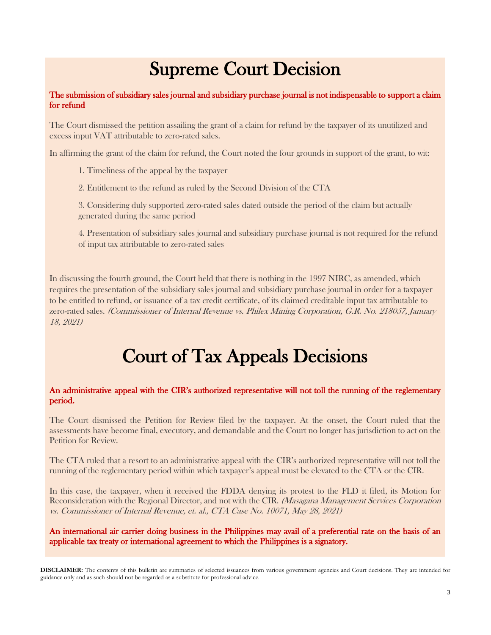# Supreme Court Decision

#### The submission of subsidiary sales journal and subsidiary purchase journal is not indispensable to support a claim for refund

The Court dismissed the petition assailing the grant of a claim for refund by the taxpayer of its unutilized and excess input VAT attributable to zero-rated sales.

In affirming the grant of the claim for refund, the Court noted the four grounds in support of the grant, to wit:

- 1. Timeliness of the appeal by the taxpayer
- 2. Entitlement to the refund as ruled by the Second Division of the CTA

3. Considering duly supported zero-rated sales dated outside the period of the claim but actually generated during the same period

4. Presentation of subsidiary sales journal and subsidiary purchase journal is not required for the refund of input tax attributable to zero-rated sales

In discussing the fourth ground, the Court held that there is nothing in the 1997 NIRC, as amended, which requires the presentation of the subsidiary sales journal and subsidiary purchase journal in order for a taxpayer to be entitled to refund, or issuance of a tax credit certificate, of its claimed creditable input tax attributable to zero-rated sales. (Commissioner of Internal Revenue vs. Philex Mining Corporation, G.R. No. 218057, January 18, 2021)

# Court of Tax Appeals Decisions

#### An administrative appeal with the CIR's authorized representative will not toll the running of the reglementary period.

The Court dismissed the Petition for Review filed by the taxpayer. At the onset, the Court ruled that the assessments have become final, executory, and demandable and the Court no longer has jurisdiction to act on the Petition for Review.

The CTA ruled that a resort to an administrative appeal with the CIR's authorized representative will not toll the running of the reglementary period within which taxpayer's appeal must be elevated to the CTA or the CIR.

In this case, the taxpayer, when it received the FDDA denying its protest to the FLD it filed, its Motion for Reconsideration with the Regional Director, and not with the CIR. (Masagana Management Services Corporation vs. Commissioner of Internal Revenue, et. al., CTA Case No. 10071, May 28, 2021)

An international air carrier doing business in the Philippines may avail of a preferential rate on the basis of an applicable tax treaty or international agreement to which the Philippines is a signatory.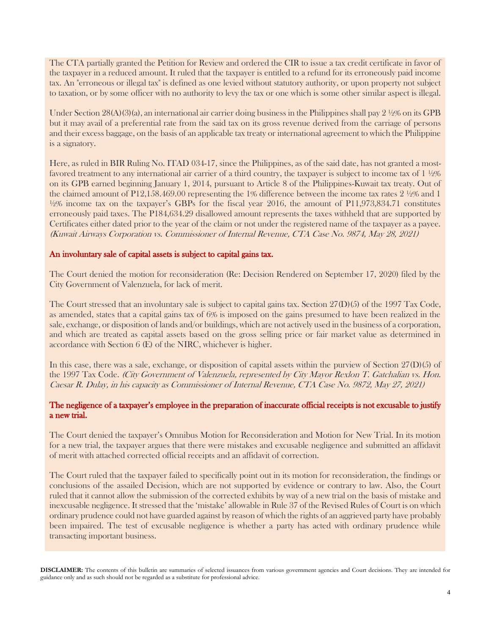The CTA partially granted the Petition for Review and ordered the CIR to issue a tax credit certificate in favor of the taxpayer in a reduced amount. It ruled that the taxpayer is entitled to a refund for its erroneously paid income tax. An "erroneous or illegal tax" is defined as one levied without statutory authority, or upon property not subject to taxation, or by some officer with no authority to levy the tax or one which is some other similar aspect is illegal.

Under Section  $28(A)(3)(a)$ , an international air carrier doing business in the Philippines shall pay  $2\frac{1}{2}\%$  on its GPB but it may avail of a preferential rate from the said tax on its gross revenue derived from the carriage of persons and their excess baggage, on the basis of an applicable tax treaty or international agreement to which the Philippine is a signatory.

Here, as ruled in BIR Ruling No. ITAD 034-17, since the Philippines, as of the said date, has not granted a mostfavored treatment to any international air carrier of a third country, the taxpayer is subject to income tax of 1  $\frac{1}{2}$ % on its GPB earned beginning January 1, 2014, pursuant to Article 8 of the Philippines-Kuwait tax treaty. Out of the claimed amount of P12,158.469.00 representing the 1% difference between the income tax rates 2 ½% and 1  $\frac{1}{2}\%$  income tax on the taxpayer's GBPs for the fiscal year 2016, the amount of P11,973,834.71 constitutes erroneously paid taxes. The P184,634.29 disallowed amount represents the taxes withheld that are supported by Certificates either dated prior to the year of the claim or not under the registered name of the taxpayer as a payee. (Kuwait Airways Corporation vs. Commissioner of Internal Revenue, CTA Case No. 9874, May 28, 2021)

#### An involuntary sale of capital assets is subject to capital gains tax.

The Court denied the motion for reconsideration (Re: Decision Rendered on September 17, 2020) filed by the City Government of Valenzuela, for lack of merit.

The Court stressed that an involuntary sale is subject to capital gains tax. Section 27(D)(5) of the 1997 Tax Code, as amended, states that a capital gains tax of 6% is imposed on the gains presumed to have been realized in the sale, exchange, or disposition of lands and/or buildings, which are not actively used in the business of a corporation, and which are treated as capital assets based on the gross selling price or fair market value as determined in accordance with Section 6 (E) of the NIRC, whichever is higher.

In this case, there was a sale, exchange, or disposition of capital assets within the purview of Section 27(D)(5) of the 1997 Tax Code. (City Government of Valenzuela, represented by City Mayor Rexlon T. Gatchalian vs. Hon. Caesar R. Dulay, in his capacity as Commissioner of Internal Revenue, CTA Case No. 9872, May 27, 2021)

#### The negligence of a taxpayer's employee in the preparation of inaccurate official receipts is not excusable to justify a new trial.

The Court denied the taxpayer's Omnibus Motion for Reconsideration and Motion for New Trial. In its motion for a new trial, the taxpayer argues that there were mistakes and excusable negligence and submitted an affidavit of merit with attached corrected official receipts and an affidavit of correction.

The Court ruled that the taxpayer failed to specifically point out in its motion for reconsideration, the findings or conclusions of the assailed Decision, which are not supported by evidence or contrary to law. Also, the Court ruled that it cannot allow the submission of the corrected exhibits by way of a new trial on the basis of mistake and inexcusable negligence. It stressed that the 'mistake' allowable in Rule 37 of the Revised Rules of Court is on which ordinary prudence could not have guarded against by reason of which the rights of an aggrieved party have probably been impaired. The test of excusable negligence is whether a party has acted with ordinary prudence while transacting important business.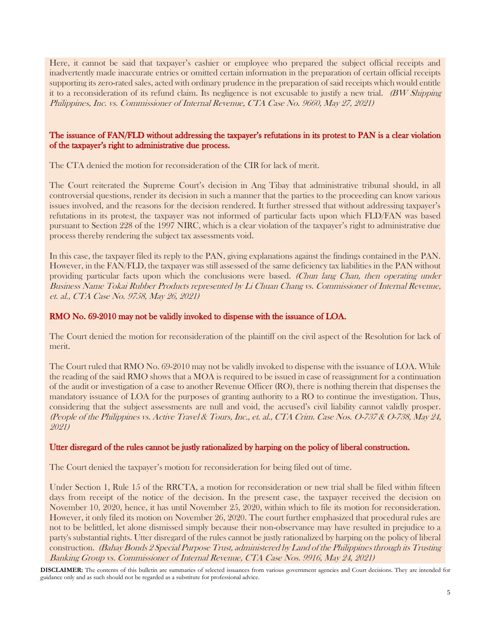Here, it cannot be said that taxpayer's cashier or employee who prepared the subject official receipts and inadvertently made inaccurate entries or omitted certain information in the preparation of certain official receipts supporting its zero-rated sales, acted with ordinary prudence in the preparation of said receipts which would entitle it to a reconsideration of its refund claim. Its negligence is not excusable to justify a new trial. (BW Shipping Philippines, Inc. vs. Commissioner of Internal Revenue, CTA Case No. 9660, May 27, 2021)

#### The issuance of FAN/FLD without addressing the taxpayer's refutations in its protest to PAN is a clear violation of the taxpayer's right to administrative due process.

The CTA denied the motion for reconsideration of the CIR for lack of merit.

The Court reiterated the Supreme Court's decision in Ang Tibay that administrative tribunal should, in all controversial questions, render its decision in such a manner that the parties to the proceeding can know various issues involved, and the reasons for the decision rendered. It further stressed that without addressing taxpayer's refutations in its protest, the taxpayer was not informed of particular facts upon which FLD/FAN was based pursuant to Section 228 of the 1997 NIRC, which is a clear violation of the taxpayer's right to administrative due process thereby rendering the subject tax assessments void.

In this case, the taxpayer filed its reply to the PAN, giving explanations against the findings contained in the PAN. However, in the FAN/FLD, the taxpayer was still assessed of the same deficiency tax liabilities in the PAN without providing particular facts upon which the conclusions were based. (Chun lang Chan, then operating under Business Name Tokai Rubber Products represented by Li Chuan Chang vs. Commissioner of Internal Revenue, et. al., CTA Case No. 9758, May 26, 2021)

#### RMO No. 69-2010 may not be validly invoked to dispense with the issuance of LOA.

The Court denied the motion for reconsideration of the plaintiff on the civil aspect of the Resolution for lack of merit.

The Court ruled that RMO No. 69-2010 may not be validly invoked to dispense with the issuance of LOA. While the reading of the said RMO shows that a MOA is required to be issued in case of reassignment for a continuation of the audit or investigation of a case to another Revenue Officer (RO), there is nothing therein that dispenses the mandatory issuance of LOA for the purposes of granting authority to a RO to continue the investigation. Thus, considering that the subject assessments are null and void, the accused's civil liability cannot validly prosper. (People of the Philippines vs. Active Travel & Tours, Inc., et. al., CTA Crim. Case Nos. O-737 & O-738, May 24, 2021)

#### Utter disregard of the rules cannot be justly rationalized by harping on the policy of liberal construction.

The Court denied the taxpayer's motion for reconsideration for being filed out of time.

Under Section 1, Rule 15 of the RRCTA, a motion for reconsideration or new trial shall be filed within fifteen days from receipt of the notice of the decision. In the present case, the taxpayer received the decision on November 10, 2020, hence, it has until November 25, 2020, within which to file its motion for reconsideration. However, it only filed its motion on November 26, 2020. The court further emphasized that procedural rules are not to be belittled, let alone dismissed simply because their non-observance may have resulted in prejudice to a party's substantial rights. Utter disregard of the rules cannot be justly rationalized by harping on the policy of liberal construction. (Bahay Bonds 2 Special Purpose Trust, administered by Land of the Philippines through its Trusting Banking Group vs. Commissioner of Internal Revenue, CTA Case Nos. 9916, May 24, 2021)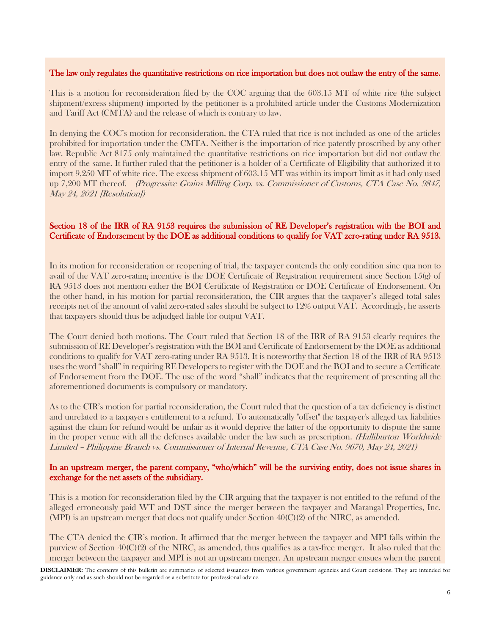#### The law only regulates the quantitative restrictions on rice importation but does not outlaw the entry of the same.

This is a motion for reconsideration filed by the COC arguing that the 603.15 MT of white rice (the subject shipment/excess shipment) imported by the petitioner is a prohibited article under the Customs Modernization and Tariff Act (CMTA) and the release of which is contrary to law.

In denying the COC's motion for reconsideration, the CTA ruled that rice is not included as one of the articles prohibited for importation under the CMTA. Neither is the importation of rice patently proscribed by any other law. Republic Act 8175 only maintained the quantitative restrictions on rice importation but did not outlaw the entry of the same. It further ruled that the petitioner is a holder of a Certificate of Eligibility that authorized it to import 9,250 MT of white rice. The excess shipment of 603.15 MT was within its import limit as it had only used up 7,200 MT thereof. (Progressive Grains Milling Corp. vs. Commissioner of Customs, CTA Case No. 9847, May 24, 2021 [Resolution])

#### Section 18 of the IRR of RA 9153 requires the submission of RE Developer's registration with the BOI and Certificate of Endorsement by the DOE as additional conditions to qualify for VAT zero-rating under RA 9513.

In its motion for reconsideration or reopening of trial, the taxpayer contends the only condition sine qua non to avail of the VAT zero-rating incentive is the DOE Certificate of Registration requirement since Section 15(g) of RA 9513 does not mention either the BOI Certificate of Registration or DOE Certificate of Endorsement. On the other hand, in his motion for partial reconsideration, the CIR argues that the taxpayer's alleged total sales receipts net of the amount of valid zero-rated sales should be subject to 12% output VAT. Accordingly, he asserts that taxpayers should thus be adjudged liable for output VAT.

The Court denied both motions. The Court ruled that Section 18 of the IRR of RA 9153 clearly requires the submission of RE Developer's registration with the BOI and Certificate of Endorsement by the DOE as additional conditions to qualify for VAT zero-rating under RA 9513. It is noteworthy that Section 18 of the IRR of RA 9513 uses the word "shall" in requiring RE Developers to register with the DOE and the BOI and to secure a Certificate of Endorsement from the DOE. The use of the word "shall" indicates that the requirement of presenting all the aforementioned documents is compulsory or mandatory.

As to the CIR's motion for partial reconsideration, the Court ruled that the question of a tax deficiency is distinct and unrelated to a taxpayer's entitlement to a refund. To automatically "offset" the taxpayer's alleged tax liabilities against the claim for refund would be unfair as it would deprive the latter of the opportunity to dispute the same in the proper venue with all the defenses available under the law such as prescription. (Halliburton Worldwide Limited – Philippine Branch vs. Commissioner of Internal Revenue, CTA Case No. 9670, May 24, 2021)

#### In an upstream merger, the parent company, "who/which" will be the surviving entity, does not issue shares in exchange for the net assets of the subsidiary.

This is a motion for reconsideration filed by the CIR arguing that the taxpayer is not entitled to the refund of the alleged erroneously paid WT and DST since the merger between the taxpayer and Marangal Properties, Inc. (MPI) is an upstream merger that does not qualify under Section  $40(C)(2)$  of the NIRC, as amended.

The CTA denied the CIR's motion. It affirmed that the merger between the taxpayer and MPI falls within the purview of Section 40(C)(2) of the NIRC, as amended, thus qualifies as a tax-free merger. It also ruled that the merger between the taxpayer and MPI is not an upstream merger. An upstream merger ensues when the parent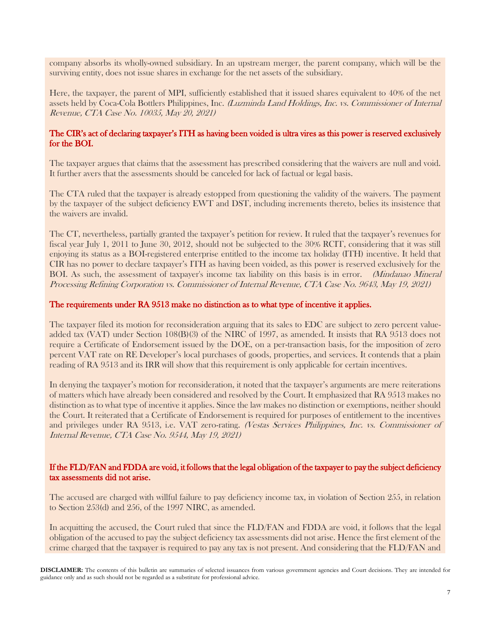company absorbs its wholly-owned subsidiary. In an upstream merger, the parent company, which will be the surviving entity, does not issue shares in exchange for the net assets of the subsidiary.

Here, the taxpayer, the parent of MPI, sufficiently established that it issued shares equivalent to 40% of the net assets held by Coca-Cola Bottlers Philippines, Inc. (Luzminda Land Holdings, Inc. vs. Commissioner of Internal Revenue, CTA Case No. 10035, May 20, 2021)

#### The CIR's act of declaring taxpayer's ITH as having been voided is ultra vires as this power is reserved exclusively for the BOI.

The taxpayer argues that claims that the assessment has prescribed considering that the waivers are null and void. It further avers that the assessments should be canceled for lack of factual or legal basis.

The CTA ruled that the taxpayer is already estopped from questioning the validity of the waivers. The payment by the taxpayer of the subject deficiency EWT and DST, including increments thereto, belies its insistence that the waivers are invalid.

The CT, nevertheless, partially granted the taxpayer's petition for review. It ruled that the taxpayer's revenues for fiscal year July 1, 2011 to June 30, 2012, should not be subjected to the 30% RCIT, considering that it was still enjoying its status as a BOI-registered enterprise entitled to the income tax holiday (ITH) incentive. It held that CIR has no power to declare taxpayer's ITH as having been voided, as this power is reserved exclusively for the BOI. As such, the assessment of taxpayer's income tax liability on this basis is in error. *(Mindanao Mineral*) Processing Refining Corporation vs. Commissioner of Internal Revenue, CTA Case No. 9643, May 19, 2021)

#### The requirements under RA 9513 make no distinction as to what type of incentive it applies.

The taxpayer filed its motion for reconsideration arguing that its sales to EDC are subject to zero percent valueadded tax (VAT) under Section 108(B)(3) of the NIRC of 1997, as amended. It insists that RA 9513 does not require a Certificate of Endorsement issued by the DOE, on a per-transaction basis, for the imposition of zero percent VAT rate on RE Developer's local purchases of goods, properties, and services. It contends that a plain reading of RA 9513 and its IRR will show that this requirement is only applicable for certain incentives.

In denying the taxpayer's motion for reconsideration, it noted that the taxpayer's arguments are mere reiterations of matters which have already been considered and resolved by the Court. It emphasized that RA 9513 makes no distinction as to what type of incentive it applies. Since the law makes no distinction or exemptions, neither should the Court. It reiterated that a Certificate of Endorsement is required for purposes of entitlement to the incentives and privileges under RA 9513, i.e. VAT zero-rating. (Vestas Services Philippines, Inc. vs. Commissioner of Internal Revenue, CTA Case No. 9544, May 19, 2021)

#### If the FLD/FAN and FDDA are void, it follows that the legal obligation of the taxpayer to pay the subject deficiency tax assessments did not arise.

The accused are charged with willful failure to pay deficiency income tax, in violation of Section 255, in relation to Section 253(d) and 256, of the 1997 NIRC, as amended.

In acquitting the accused, the Court ruled that since the FLD/FAN and FDDA are void, it follows that the legal obligation of the accused to pay the subject deficiency tax assessments did not arise. Hence the first element of the crime charged that the taxpayer is required to pay any tax is not present. And considering that the FLD/FAN and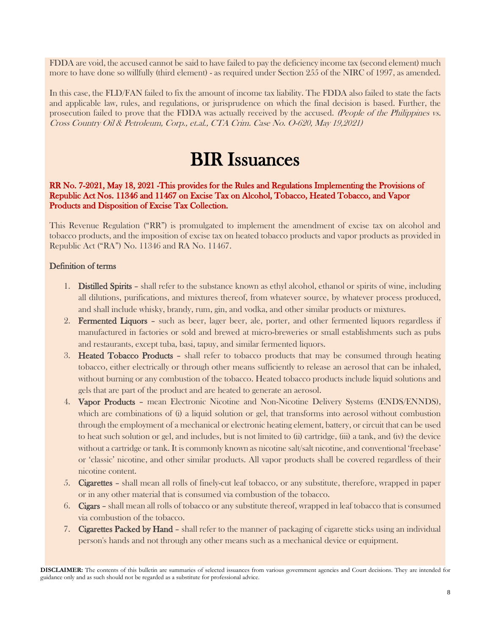FDDA are void, the accused cannot be said to have failed to pay the deficiency income tax (second element) much more to have done so willfully (third element) - as required under Section 255 of the NIRC of 1997, as amended.

In this case, the FLD/FAN failed to fix the amount of income tax liability. The FDDA also failed to state the facts and applicable law, rules, and regulations, or jurisprudence on which the final decision is based. Further, the prosecution failed to prove that the FDDA was actually received by the accused. (People of the Philippines vs. Cross Country Oil & Petroleum, Corp., et.al., CTA Crim. Case No. O-620, May 19,2021)

# BIR Issuances

RR No. 7-2021, May 18, 2021 -This provides for the Rules and Regulations Implementing the Provisions of Republic Act Nos. 11346 and 11467 on Excise Tax on Alcohol, Tobacco, Heated Tobacco, and Vapor Products and Disposition of Excise Tax Collection.

This Revenue Regulation ("RR") is promulgated to implement the amendment of excise tax on alcohol and tobacco products, and the imposition of excise tax on heated tobacco products and vapor products as provided in Republic Act ("RA") No. 11346 and RA No. 11467.

#### Definition of terms

- 1. Distilled Spirits shall refer to the substance known as ethyl alcohol, ethanol or spirits of wine, including all dilutions, purifications, and mixtures thereof, from whatever source, by whatever process produced, and shall include whisky, brandy, rum, gin, and vodka, and other similar products or mixtures.
- 2. Fermented Liquors such as beer, lager beer, ale, porter, and other fermented liquors regardless if manufactured in factories or sold and brewed at micro-breweries or small establishments such as pubs and restaurants, except tuba, basi, tapuy, and similar fermented liquors.
- 3. Heated Tobacco Products shall refer to tobacco products that may be consumed through heating tobacco, either electrically or through other means sufficiently to release an aerosol that can be inhaled, without burning or any combustion of the tobacco. Heated tobacco products include liquid solutions and gels that are part of the product and are heated to generate an aerosol.
- 4. Vapor Products mean Electronic Nicotine and Non-Nicotine Delivery Systems (ENDS/ENNDS), which are combinations of (i) a liquid solution or gel, that transforms into aerosol without combustion through the employment of a mechanical or electronic heating element, battery, or circuit that can be used to heat such solution or gel, and includes, but is not limited to (ii) cartridge, (iii) a tank, and (iv) the device without a cartridge or tank. It is commonly known as nicotine salt/salt nicotine, and conventional 'freebase' or 'classic' nicotine, and other similar products. All vapor products shall be covered regardless of their nicotine content.
- 5. Cigarettes shall mean all rolls of finely-cut leaf tobacco, or any substitute, therefore, wrapped in paper or in any other material that is consumed via combustion of the tobacco.
- 6. Cigars shall mean all rolls of tobacco or any substitute thereof, wrapped in leaf tobacco that is consumed via combustion of the tobacco.
- 7. Cigarettes Packed by Hand shall refer to the manner of packaging of cigarette sticks using an individual person's hands and not through any other means such as a mechanical device or equipment.

**DISCLAIMER:** The contents of this bulletin are summaries of selected issuances from various government agencies and Court decisions. They are intended for guidance only and as such should not be regarded as a substitute for professional advice.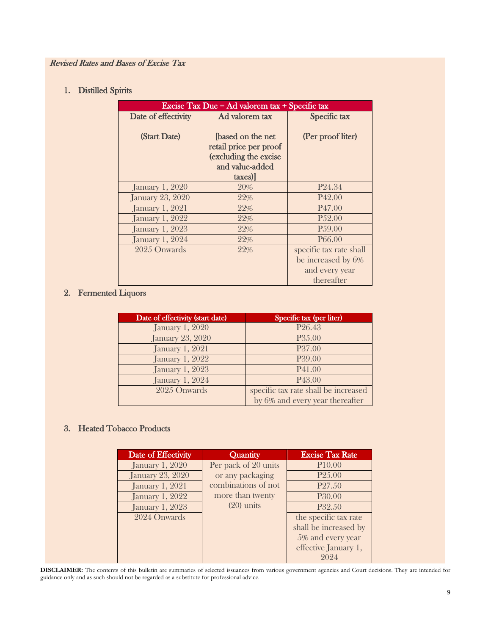### Revised Rates and Bases of Excise Tax

## 1. Distilled Spirits

| Excise Tax Due = Ad valorem $tax + Specific tax$ |                          |                         |
|--------------------------------------------------|--------------------------|-------------------------|
| Date of effectivity                              | Ad valorem tax           | Specific tax            |
|                                                  |                          |                         |
| (Start Date)                                     | <b>[based on the net</b> | (Per proof liter)       |
|                                                  | retail price per proof   |                         |
|                                                  | (excluding the excise    |                         |
|                                                  | and value-added          |                         |
|                                                  | taxes)                   |                         |
| <b>January 1, 2020</b>                           | 20%                      | P <sub>24.34</sub>      |
| <b>January 23, 2020</b>                          | 22%                      | P <sub>42.00</sub>      |
| <b>January 1, 2021</b>                           | 22%                      | P <sub>47.00</sub>      |
| <b>January 1, 2022</b>                           | 22%                      | P.52.00                 |
| <b>January 1, 2023</b>                           | 22%                      | P.59.00                 |
| <b>January 1, 2024</b>                           | 22%                      | P <sub>66.00</sub>      |
| 2025 Onwards                                     | 22%                      | specific tax rate shall |
|                                                  |                          | be increased by 6%      |
|                                                  |                          | and every year          |
|                                                  |                          | thereafter              |

### 2. Fermented Liquors

| Date of effectivity (start date) | Specific tax (per liter)             |
|----------------------------------|--------------------------------------|
| <b>January 1, 2020</b>           | P <sub>26.43</sub>                   |
| <b>January 23, 2020</b>          | P <sub>35.00</sub>                   |
| <b>January 1, 2021</b>           | P37.00                               |
| <b>January 1, 2022</b>           | P39.00                               |
| <b>January 1, 2023</b>           | P <sub>41.00</sub>                   |
| <b>January 1, 2024</b>           | P <sub>43.00</sub>                   |
| 2025 Onwards                     | specific tax rate shall be increased |
|                                  | by 6% and every year thereafter      |

### 3. Heated Tobacco Products

| Date of Effectivity     | Quantity             | <b>Excise Tax Rate</b> |
|-------------------------|----------------------|------------------------|
| <b>January 1, 2020</b>  | Per pack of 20 units | P10.00                 |
| <b>January 23, 2020</b> | or any packaging     | P <sub>25.00</sub>     |
| <b>January 1, 2021</b>  | combinations of not  | P <sub>27.50</sub>     |
| <b>January 1, 2022</b>  | more than twenty     | P <sub>30.00</sub>     |
| <b>January 1, 2023</b>  | $(20)$ units         | P32.50                 |
| 2024 Onwards            |                      | the specific tax rate  |
|                         |                      | shall be increased by  |
|                         |                      | 5% and every year      |
|                         |                      | effective January 1,   |
|                         |                      | 2024                   |

**DISCLAIMER:** The contents of this bulletin are summaries of selected issuances from various government agencies and Court decisions. They are intended for guidance only and as such should not be regarded as a substitute for professional advice.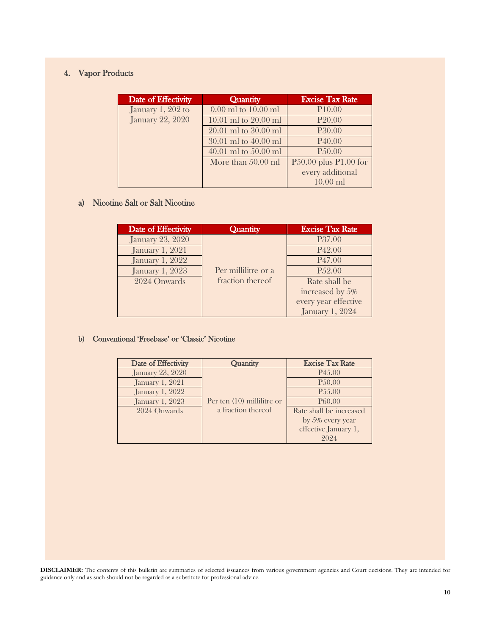## 4. Vapor Products

| Date of Effectivity     | Quantity                 | <b>Excise Tax Rate</b>    |
|-------------------------|--------------------------|---------------------------|
| January 1, 202 to       | $0.00$ ml to $10.00$ ml  | P <sub>10.00</sub>        |
| <b>January 22, 2020</b> | $10.01$ ml to $20.00$ ml | P <sub>20.00</sub>        |
|                         | $20.01$ ml to $30.00$ ml | <b>P30.00</b>             |
|                         | $30.01$ ml to $40.00$ ml | P <sub>40.00</sub>        |
|                         | $40.01$ ml to $50.00$ ml | P <sub>50.00</sub>        |
|                         | More than $50.00$ ml     | $P50.00$ plus $P1.00$ for |
|                         |                          | every additional          |
|                         |                          | $10.00$ ml                |

# a) Nicotine Salt or Salt Nicotine

| Date of Effectivity     | Quantity            | <b>Excise Tax Rate</b> |
|-------------------------|---------------------|------------------------|
| <b>January 23, 2020</b> |                     | P <sub>37.00</sub>     |
| <b>January 1, 2021</b>  |                     | P <sub>42.00</sub>     |
| <b>January 1, 2022</b>  |                     | P <sub>47.00</sub>     |
| <b>January 1, 2023</b>  | Per millilitre or a | P <sub>52.00</sub>     |
| 2024 Onwards            | fraction thereof    | Rate shall be          |
|                         |                     | increased by 5%        |
|                         |                     | every year effective   |
|                         |                     | <b>January 1, 2024</b> |

#### b) Conventional 'Freebase' or 'Classic' Nicotine

| Date of Effectivity     | Quantity                     | <b>Excise Tax Rate</b>  |
|-------------------------|------------------------------|-------------------------|
| <b>January 23, 2020</b> |                              | P <sub>45.00</sub>      |
| <b>January 1, 2021</b>  |                              | P <sub>50.00</sub>      |
| <b>January 1, 2022</b>  |                              | P <sub>55.00</sub>      |
| <b>January 1, 2023</b>  | Per ten $(10)$ millilitre or | P <sub>60.00</sub>      |
| 2024 Onwards            | a fraction thereof           | Rate shall be increased |
|                         |                              | by 5% every year        |
|                         |                              | effective January 1,    |
|                         |                              |                         |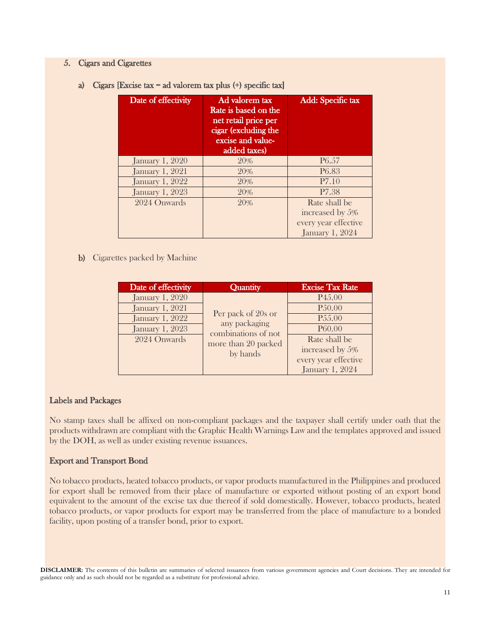#### 5. Cigars and Cigarettes

a) Cigars [Excise tax = ad valorem tax plus (+) specific tax]

| Date of effectivity    | Ad valorem tax<br>Rate is based on the<br>net retail price per<br>cigar (excluding the<br>excise and value-<br>added taxes) | Add: Specific tax      |
|------------------------|-----------------------------------------------------------------------------------------------------------------------------|------------------------|
| <b>January 1, 2020</b> | 20%                                                                                                                         | P <sub>6.57</sub>      |
| <b>January 1, 2021</b> | 20%                                                                                                                         | P <sub>6.83</sub>      |
| <b>January 1, 2022</b> | 20%                                                                                                                         | P7.10                  |
| <b>January 1, 2023</b> | 20%                                                                                                                         | P <sub>7.38</sub>      |
| 2024 Onwards           | 20%                                                                                                                         | Rate shall be          |
|                        |                                                                                                                             | increased by 5%        |
|                        |                                                                                                                             | every year effective   |
|                        |                                                                                                                             | <b>January 1, 2024</b> |

#### b) Cigarettes packed by Machine

| Date of effectivity    | Quantity                                                   | <b>Excise Tax Rate</b> |
|------------------------|------------------------------------------------------------|------------------------|
| <b>January 1, 2020</b> |                                                            | P <sub>45.00</sub>     |
| <b>January 1, 2021</b> |                                                            | P <sub>50.00</sub>     |
| <b>January 1, 2022</b> | Per pack of 20s or<br>any packaging<br>combinations of not | P <sub>55.00</sub>     |
| <b>January 1, 2023</b> |                                                            | P60.00                 |
| 2024 Onwards           | more than 20 packed                                        | Rate shall be          |
|                        | by hands                                                   | increased by 5%        |
|                        |                                                            | every year effective   |
|                        |                                                            | <b>January 1, 2024</b> |

#### Labels and Packages

No stamp taxes shall be affixed on non-compliant packages and the taxpayer shall certify under oath that the products withdrawn are compliant with the Graphic Health Warnings Law and the templates approved and issued by the DOH, as well as under existing revenue issuances.

#### Export and Transport Bond

No tobacco products, heated tobacco products, or vapor products manufactured in the Philippines and produced for export shall be removed from their place of manufacture or exported without posting of an export bond equivalent to the amount of the excise tax due thereof if sold domestically. However, tobacco products, heated tobacco products, or vapor products for export may be transferred from the place of manufacture to a bonded facility, upon posting of a transfer bond, prior to export.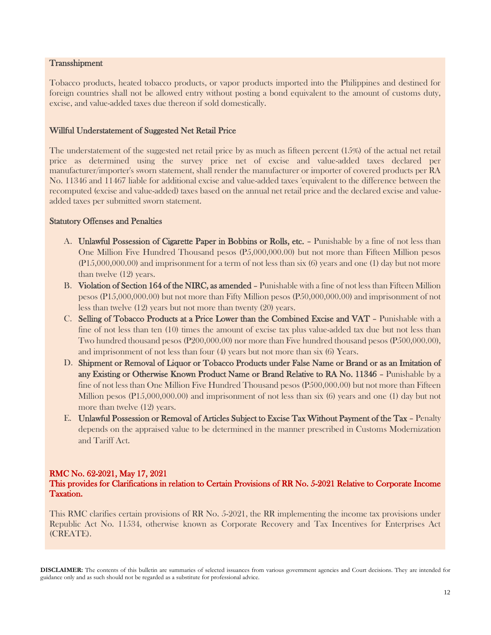#### **Transshipment**

Tobacco products, heated tobacco products, or vapor products imported into the Philippines and destined for foreign countries shall not be allowed entry without posting a bond equivalent to the amount of customs duty, excise, and value-added taxes due thereon if sold domestically.

#### Willful Understatement of Suggested Net Retail Price

The understatement of the suggested net retail price by as much as fifteen percent (15%) of the actual net retail price as determined using the survey price net of excise and value-added taxes declared per manufacturer/importer's sworn statement, shall render the manufacturer or importer of covered products per RA No. 11346 and 11467 liable for additional excise and value-added taxes 'equivalent to the difference between the recomputed (excise and value-added) taxes based on the annual net retail price and the declared excise and valueadded taxes per submitted sworn statement.

#### Statutory Offenses and Penalties

- A. Unlawful Possession of Cigarette Paper in Bobbins or Rolls, etc. Punishable by a fine of not less than One Million Five Hundred Thousand pesos (P5,000,000.00) but not more than Fifteen Million pesos (P15,000,000.00) and imprisonment for a term of not less than six (6) years and one (1) day but not more than twelve (12) years.
- B. Violation of Section 164 of the NIRC, as amended Punishable with a fine of not less than Fifteen Million pesos (P15,000,000.00) but not more than Fifty Million pesos (P50,000,000.00) and imprisonment of not less than twelve (12) years but not more than twenty (20) years.
- C. Selling of Tobacco Products at a Price Lower than the Combined Excise and VAT Punishable with a fine of not less than ten (10) times the amount of excise tax plus value-added tax due but not less than Two hundred thousand pesos (P200,000.00) nor more than Five hundred thousand pesos (P500,000.00), and imprisonment of not less than four (4) years but not more than six (6) Years.
- D. Shipment or Removal of Liquor or Tobacco Products under False Name or Brand or as an Imitation of any Existing or Otherwise Known Product Name or Brand Relative to RA No. 11346 – Punishable by a fine of not less than One Million Five Hundred Thousand pesos (P500,000.00) but not more than Fifteen Million pesos (P15,000,000.00) and imprisonment of not less than six (6) years and one (1) day but not more than twelve (12) years.
- E. Unlawful Possession or Removal of Articles Subject to Excise Tax Without Payment of the Tax Penalty depends on the appraised value to be determined in the manner prescribed in Customs Modernization and Tariff Act.

#### RMC No. 62-2021, May 17, 2021

#### This provides for Clarifications in relation to Certain Provisions of RR No. 5-2021 Relative to Corporate Income Taxation.

This RMC clarifies certain provisions of RR No. 5-2021, the RR implementing the income tax provisions under Republic Act No. 11534, otherwise known as Corporate Recovery and Tax Incentives for Enterprises Act (CREATE).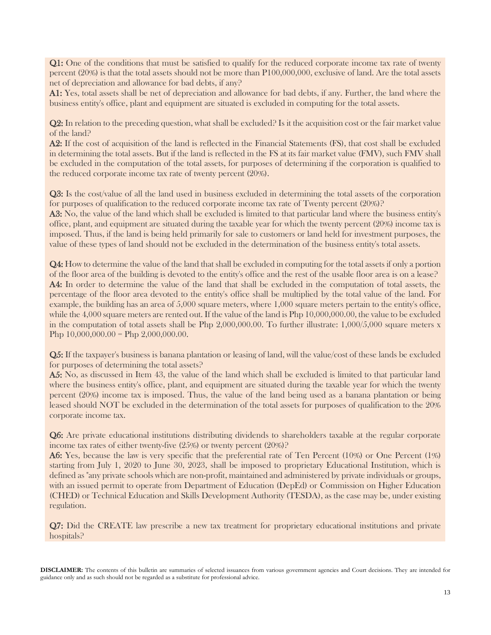Q1: One of the conditions that must be satisfied to qualify for the reduced corporate income tax rate of twenty percent (20%) is that the total assets should not be more than P100,000,000, exclusive of land. Are the total assets net of depreciation and allowance for bad debts, if any?

A1: Yes, total assets shall be net of depreciation and allowance for bad debts, if any. Further, the land where the business entity's office, plant and equipment are situated is excluded in computing for the total assets.

Q2: In relation to the preceding question, what shall be excluded? Is it the acquisition cost or the fair market value of the land?

A2: If the cost of acquisition of the land is reflected in the Financial Statements (FS), that cost shall be excluded in determining the total assets. But if the land is reflected in the FS at its fair market value (FMV), such FMV shall be excluded in the computation of the total assets, for purposes of determining if the corporation is qualified to the reduced corporate income tax rate of twenty percent (20%).

Q3: Is the cost/value of all the land used in business excluded in determining the total assets of the corporation for purposes of qualification to the reduced corporate income tax rate of Twenty percent (20%)?

A3: No, the value of the land which shall be excluded is limited to that particular land where the business entity's office, plant, and equipment are situated during the taxable year for which the twenty percent (20%) income tax is imposed. Thus, if the land is being held primarily for sale to customers or land held for investment purposes, the value of these types of land should not be excluded in the determination of the business entity's total assets.

Q4: How to determine the value of the land that shall be excluded in computing for the total assets if only a portion of the floor area of the building is devoted to the entity's office and the rest of the usable floor area is on a lease? A4: In order to determine the value of the land that shall be excluded in the computation of total assets, the percentage of the floor area devoted to the entity's office shall be multiplied by the total value of the land. For example, the building has an area of 5,000 square meters, where 1,000 square meters pertain to the entity's office, while the 4,000 square meters are rented out. If the value of the land is Php 10,000,000.00, the value to be excluded in the computation of total assets shall be Php 2,000,000.00. To further illustrate: 1,000/5,000 square meters x Php  $10,000,000.00 =$  Php  $2,000,000.00$ .

Q5: If the taxpayer's business is banana plantation or leasing of land, will the value/cost of these lands be excluded for purposes of determining the total assets?

A5: No, as discussed in Item 43, the value of the land which shall be excluded is limited to that particular land where the business entity's office, plant, and equipment are situated during the taxable year for which the twenty percent (20%) income tax is imposed. Thus, the value of the land being used as a banana plantation or being leased should NOT be excluded in the determination of the total assets for purposes of qualification to the 20% corporate income tax.

Q6: Are private educational institutions distributing dividends to shareholders taxable at the regular corporate income tax rates of either twenty-five (25%) or twenty percent (20%)?

A6: Yes, because the law is very specific that the preferential rate of Ten Percent (10%) or One Percent (1%) starting from July 1, 2020 to June 30, 2023, shall be imposed to proprietary Educational Institution, which is defined as "any private schools which are non-profit, maintained and administered by private individuals or groups, with an issued permit to operate from Department of Education (DepEd) or Commission on Higher Education (CHED) or Technical Education and Skills Development Authority (TESDA), as the case may be, under existing regulation.

Q7: Did the CREATE law prescribe a new tax treatment for proprietary educational institutions and private hospitals?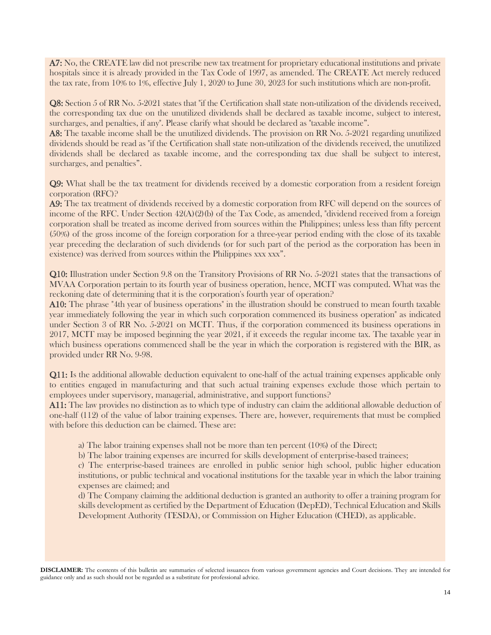A7: No, the CREATE law did not prescribe new tax treatment for proprietary educational institutions and private hospitals since it is already provided in the Tax Code of 1997, as amended. The CREATE Act merely reduced the tax rate, from 10% to 1%, effective July 1, 2020 to June 30, 2023 for such institutions which are non-profit.

Q8: Section 5 of RR No. 5-2021 states that "if the Certification shall state non-utilization of the dividends received, the corresponding tax due on the unutilized dividends shall be declared as taxable income, subject to interest, surcharges, and penalties, if any". Please clarify what should be declared as "taxable income".

A8: The taxable income shall be the unutilized dividends. The provision on RR No. 5-2021 regarding unutilized dividends should be read as "if the Certification shall state non-utilization of the dividends received, the unutilized dividends shall be declared as taxable income, and the corresponding tax due shall be subject to interest, surcharges, and penalties".

Q9: What shall be the tax treatment for dividends received by a domestic corporation from a resident foreign corporation (RFC)?

A9: The tax treatment of dividends received by a domestic corporation from RFC will depend on the sources of income of the RFC. Under Section 42(A)(2)(b) of the Tax Code, as amended, "dividend received from a foreign corporation shall be treated as income derived from sources within the Philippines; unless less than fifty percent (50%) of the gross income of the foreign corporation for a three-year period ending with the close of its taxable year preceding the declaration of such dividends (or for such part of the period as the corporation has been in existence) was derived from sources within the Philippines xxx xxx".

Q10: Illustration under Section 9.8 on the Transitory Provisions of RR No. 5-2021 states that the transactions of MVAA Corporation pertain to its fourth year of business operation, hence, MCIT was computed. What was the reckoning date of determining that it is the corporation's fourth year of operation?

A10: The phrase "4th year of business operations" in the illustration should be construed to mean fourth taxable year immediately following the year in which such corporation commenced its business operation" as indicated under Section 3 of RR No. 5-2021 on MCIT. Thus, if the corporation commenced its business operations in 2017, MCIT may be imposed beginning the year 2021, if it exceeds the regular income tax. The taxable year in which business operations commenced shall be the year in which the corporation is registered with the BIR, as provided under RR No. 9-98.

Q11: Is the additional allowable deduction equivalent to one-half of the actual training expenses applicable only to entities engaged in manufacturing and that such actual training expenses exclude those which pertain to employees under supervisory, managerial, administrative, and support functions?

A11: The law provides no distinction as to which type of industry can claim the additional allowable deduction of one-half (112) of the value of labor training expenses. There are, however, requirements that must be complied with before this deduction can be claimed. These are:

a) The labor training expenses shall not be more than ten percent (10%) of the Direct;

b) The labor training expenses are incurred for skills development of enterprise-based trainees;

c) The enterprise-based trainees are enrolled in public senior high school, public higher education institutions, or public technical and vocational institutions for the taxable year in which the labor training expenses are claimed; and

d) The Company claiming the additional deduction is granted an authority to offer a training program for skills development as certified by the Department of Education (DepED), Technical Education and Skills Development Authority (TESDA), or Commission on Higher Education (CHED), as applicable.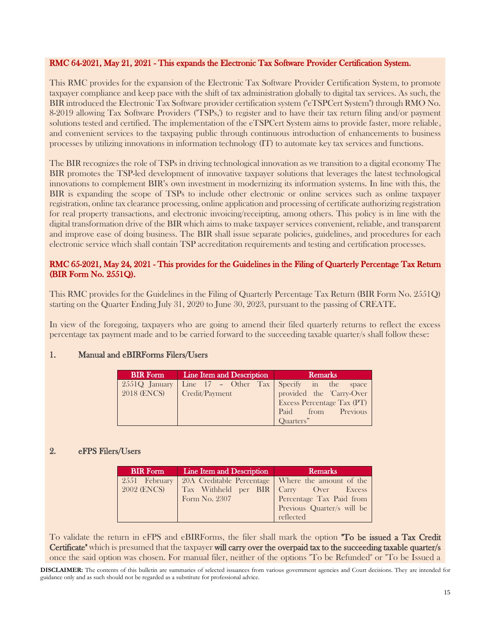#### RMC 64-2021, May 21, 2021 - This expands the Electronic Tax Software Provider Certification System.

This RMC provides for the expansion of the Electronic Tax Software Provider Certification System, to promote taxpayer compliance and keep pace with the shift of tax administration globally to digital tax services. As such, the BIR introduced the Electronic Tax Software provider certification system ("eTSPCert System") through RMO No. 8-2019 allowing Tax Software Providers ("TSPs,') to register and to have their tax return filing and/or payment solutions tested and certified. The implementation of the eTSPCert System aims to provide faster, more reliable, and convenient services to the taxpaying public through continuous introduction of enhancements to business processes by utilizing innovations in information technology (IT) to automate key tax services and functions.

The BIR recognizes the role of TSPs in driving technological innovation as we transition to a digital economy The BIR promotes the TSP-led development of innovative taxpayer solutions that leverages the latest technological innovations to complement BIR's own investment in modernizing its information systems. In line with this, the BIR is expanding the scope of TSPs to include other electronic or online services such as online taxpayer registration, online tax clearance processing, online application and processing of certificate authorizing registration for real property transactions, and electronic invoicing/receipting, among others. This policy is in line with the digital transformation drive of the BIR which aims to make taxpayer services convenient, reliable, and transparent and improve ease of doing business. The BIR shall issue separate policies, guidelines, and procedures for each electronic service which shall contain TSP accreditation requirements and testing and certification processes.

#### RMC 65-2021, May 24, 2021 - This provides for the Guidelines in the Filing of Quarterly Percentage Tax Return (BIR Form No. 2551Q).

This RMC provides for the Guidelines in the Filing of Quarterly Percentage Tax Return (BIR Form No. 2551Q) starting on the Quarter Ending July 31, 2020 to June 30, 2023, pursuant to the passing of CREATE.

In view of the foregoing, taxpayers who are going to amend their filed quarterly returns to reflect the excess percentage tax payment made and to be carried forward to the succeeding taxable quarter/s shall follow these:

#### 1. Manual and eBIRForms Filers/Users

| <b>BIR</b> Form | Line Item and Description | <b>Remarks</b>                                                                    |
|-----------------|---------------------------|-----------------------------------------------------------------------------------|
|                 |                           | 2551Q January Line 17 - Other Tax Specify in the space 2018 (ENCS) Credit/Payment |
|                 |                           |                                                                                   |
|                 |                           | <b>Excess Percentage Tax (PT)</b>                                                 |
|                 |                           | Paid from Previous                                                                |
|                 |                           | Quarters"                                                                         |

#### 2. eFPS Filers/Users

| <b>BIR Form</b>    | Line Item and Description                           | Remarks                                |
|--------------------|-----------------------------------------------------|----------------------------------------|
| 2551 February      | 20A Creditable Percentage   Where the amount of the |                                        |
| <b>2002 (ENCS)</b> |                                                     | Tax Withheld per BIR Carry Over Excess |
|                    | Form No. 2307                                       | Percentage Tax Paid from               |
|                    |                                                     | Previous Quarter/s will be             |
|                    |                                                     | reflected                              |

To validate the return in eFPS and eBIRForms, the filer shall mark the option "To be issued a Tax Credit Certificate" which is presumed that the taxpayer will carry over the overpaid tax to the succeeding taxable quarter/s once the said option was chosen. For manual filer, neither of the options "To be Refunded" or "To be Issued a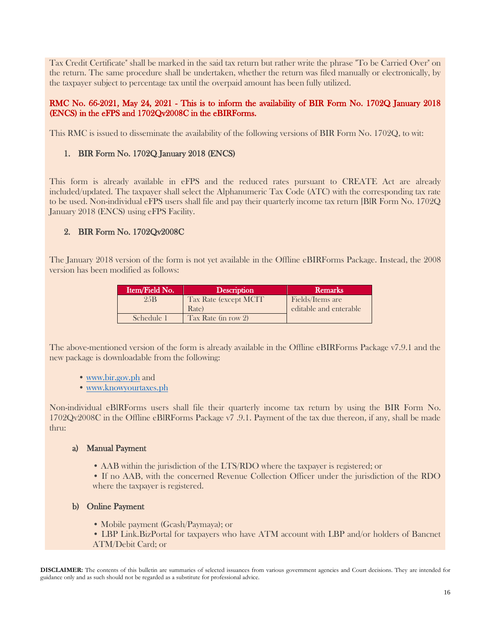Tax Credit Certificate" shall be marked in the said tax return but rather write the phrase "To be Carried Over" on the return. The same procedure shall be undertaken, whether the return was filed manually or electronically, by the taxpayer subject to percentage tax until the overpaid amount has been fully utilized.

#### RMC No. 66-2021, May 24, 2021 - This is to inform the availability of BIR Form No. 1702Q January 2018 (ENCS) in the eFPS and 1702Qv2008C in the eBIRForms.

This RMC is issued to disseminate the availability of the following versions of BIR Form No. 1702Q, to wit:

### 1. BIR Form No. 1702Q January 2018 (ENCS)

This form is already available in eFPS and the reduced rates pursuant to CREATE Act are already included/updated. The taxpayer shall select the Alphanumeric Tax Code (ATC) with the corresponding tax rate to be used. Non-individual eFPS users shall file and pay their quarterly income tax return [BlR Form No. 1702Q January 2018 (ENCS) using eFPS Facility.

### 2. BIR Form No. 1702Qv2008C

The January 2018 version of the form is not yet available in the Offline eBIRForms Package. Instead, the 2008 version has been modified as follows:

| Item/Field No. | <b>Description</b>     | <b>Remarks</b>         |
|----------------|------------------------|------------------------|
| 2.5B           | Tax Rate (except MCIT) | Fields/Items are       |
|                | Rate)                  | editable and enterable |
| Schedule 1     | Tax Rate (in row 2)    |                        |

The above-mentioned version of the form is already available in the Offline eBIRForms Package v7.9.1 and the new package is downloadable from the following:

- [www.bir.gov.ph](file:///C:/Users/MAP/Downloads/www.bir.gov.ph) and
- [www.knowyourtaxes.ph](file:///C:/Users/MAP/Downloads/www.knowyourtaxes.ph)

Non-individual eBlRForms users shall file their quarterly income tax return by using the BIR Form No. 1702Qv2008C in the Offline eBlRForms Package v7 .9.1. Payment of the tax due thereon, if any, shall be made thru:

#### a) Manual Payment

• AAB within the jurisdiction of the LTS/RDO where the taxpayer is registered; or

• If no AAB, with the concerned Revenue Collection Officer under the jurisdiction of the RDO where the taxpayer is registered.

#### b) Online Payment

- Mobile payment (Gcash/Paymaya); or
- LBP Link.BizPortal for taxpayers who have ATM account with LBP and/or holders of Bancnet ATM/Debit Card; or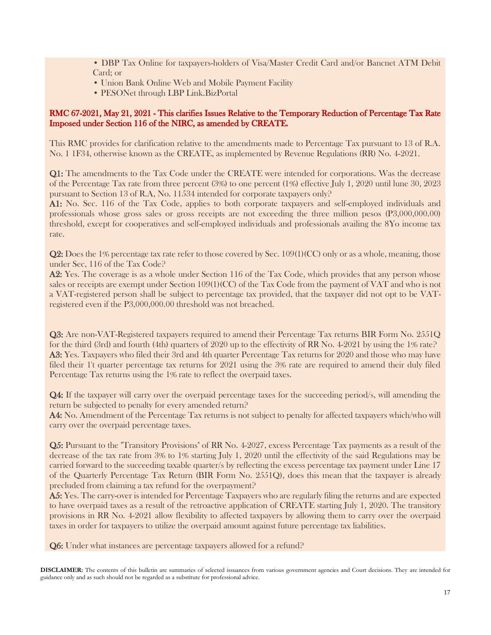• DBP Tax Online for taxpayers-holders of Visa/Master Credit Card and/or Bancnet ATM Debit Card; or

- Union Bank Online Web and Mobile Payment Facility
- PESONet through LBP Link.BizPortal

#### RMC 67-2021, May 21, 2021 - This clarifies Issues Relative to the Temporary Reduction of Percentage Tax Rate Imposed under Section 116 of the NIRC, as amended by CREATE.

This RMC provides for clarification relative to the amendments made to Percentage Tax pursuant to 13 of R.A. No. 1 1F34, otherwise known as the CREATE, as implemented by Revenue Regulations (RR) No. 4-2021.

Q1: The amendments to the Tax Code under the CREATE were intended for corporations. Was the decrease of the Percentage Tax rate from three percent (3%) to one percent (1%) effective July 1, 2020 until lune 30, 2023 pursuant to Section 13 of R.A, No. 11534 intended for corporate taxpayers only?

A1: No. Sec. 116 of the Tax Code, applies to both corporate taxpayers and self-employed individuals and professionals whose gross sales or gross receipts are not exceeding the three million pesos (P3,000,000.00) threshold, except for cooperatives and self-employed individuals and professionals availing the 8Yo income tax rate.

Q2: Does the 1% percentage tax rate refer to those covered by Sec. 109(1)(CC) only or as a whole, meaning, those under Sec, 116 of the Tax Code?

A2: Yes. The coverage is as a whole under Section 116 of the Tax Code, which provides that any person whose sales or receipts are exempt under Section 109(1)(CC) of the Tax Code from the payment of VAT and who is not a VAT-registered person shall be subject to percentage tax provided, that the taxpayer did not opt to be VATregistered even if the P3,000,000.00 threshold was not breached.

Q3: Are non-VAT-Registered taxpayers required to amend their Percentage Tax returns BIR Form No. 2551Q for the third (3rd) and fourth (4th) quarters of 2020 up to the effectivity of RR No. 4-2021 by using the 1% rate? A3: Yes. Taxpayers who filed their 3rd and 4th quarter Percentage Tax returns for 2020 and those who may have filed their 1't quarter percentage tax returns for 2021 using the 3% rate are required to amend their duly filed Percentage Tax returns using the 1% rate to reflect the overpaid taxes.

Q4: If the taxpayer will carry over the overpaid percentage taxes for the succeeding period/s, will amending the return be subjected to penalty for every amended return?

A4: No. Amendment of the Percentage Tax returns is not subject to penalty for affected taxpayers which/who will carry over the overpaid percentage taxes.

Q5: Pursuant to the "Transitory Provisions" of RR No. 4-2027, excess Percentage Tax payments as a result of the decrease of the tax rate from 3% to 1% starting July 1, 2020 until the effectivity of the said Regulations may be carried forward to the succeeding taxable quarter/s by reflecting the excess percentage tax payment under Line 17 of the Quarterly Percentage Tax Return (BIR Form No. 2551Q), does this mean that the taxpayer is already precluded from claiming a tax refund for the overpayment?

A5: Yes. The carry-over is intended for Percentage Taxpayers who are regularly filing the returns and are expected to have overpaid taxes as a result of the retroactive application of CREATE starting July 1, 2020. The transitory provisions in RR No. 4-2021 allow flexibility to affected taxpayers by allowing them to carry over the overpaid taxes in order for taxpayers to utilize the overpaid amount against future percentage tax liabilities.

Q6: Under what instances are percentage taxpayers allowed for a refund?

**DISCLAIMER:** The contents of this bulletin are summaries of selected issuances from various government agencies and Court decisions. They are intended for guidance only and as such should not be regarded as a substitute for professional advice.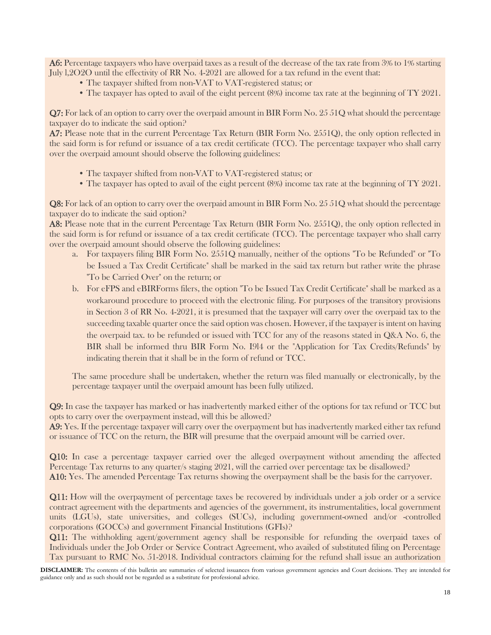A6: Percentage taxpayers who have overpaid taxes as a result of the decrease of the tax rate from 3% to 1% starting July l,2O2O until the effectivity of RR No. 4-2021 are allowed for a tax refund in the event that:

- The taxpayer shifted from non-VAT to VAT-registered status; or
- The taxpayer has opted to avail of the eight percent (8%) income tax rate at the beginning of TY 2021.

Q7: For lack of an option to carry over the overpaid amount in BIR Form No. 25 51Q what should the percentage taxpayer do to indicate the said option?

A7: Please note that in the current Percentage Tax Return (BIR Form No. 2551Q), the only option reflected in the said form is for refund or issuance of a tax credit certificate (TCC). The percentage taxpayer who shall carry over the overpaid amount should observe the following guidelines:

- The taxpayer shifted from non-VAT to VAT-registered status; or
- The taxpayer has opted to avail of the eight percent (8%) income tax rate at the beginning of TY 2021.

Q8: For lack of an option to carry over the overpaid amount in BIR Form No. 25 51Q what should the percentage taxpayer do to indicate the said option?

A8: Please note that in the current Percentage Tax Return (BIR Form No. 2551Q), the only option reflected in the said form is for refund or issuance of a tax credit certificate (TCC). The percentage taxpayer who shall carry over the overpaid amount should observe the following guidelines:

- a. For taxpayers filing BIR Form No. 2551Q manually, neither of the options "To be Refunded" or "To be Issued a Tax Credit Certificate" shall be marked in the said tax return but rather write the phrase "To be Carried Over" on the return; or
- b. For eFPS and eBIRForms filers, the option "To be Issued Tax Credit Certificate" shall be marked as a workaround procedure to proceed with the electronic filing. For purposes of the transitory provisions in Section 3 of RR No. 4-2021, it is presumed that the taxpayer will carry over the overpaid tax to the succeeding taxable quarter once the said option was chosen. However, if the taxpayer is intent on having the overpaid tax. to be refunded or issued with TCC for any of the reasons stated in Q&A No. 6, the BIR shall be informed thru BIR Form No. I9l4 or the "Application for Tax Credits/Refunds" by indicating therein that it shall be in the form of refund or TCC.

The same procedure shall be undertaken, whether the return was filed manually or electronically, by the percentage taxpayer until the overpaid amount has been fully utilized.

Q9: In case the taxpayer has marked or has inadvertently marked either of the options for tax refund or TCC but opts to carry over the overpayment instead, will this be allowed?

A9: Yes. If the percentage taxpayer will carry over the overpayment but has inadvertently marked either tax refund or issuance of TCC on the return, the BIR will presume that the overpaid amount will be carried over.

Q10: In case a percentage taxpayer carried over the alleged overpayment without amending the affected Percentage Tax returns to any quarter/s staging 2021, will the carried over percentage tax be disallowed? A10: Yes. The amended Percentage Tax returns showing the overpayment shall be the basis for the carryover.

Q11: How will the overpayment of percentage taxes be recovered by individuals under a job order or a service contract agreement with the departments and agencies of the government, its instrumentalities, local government units (LGUs), state universities, and colleges (SUCs), including government-owned and/or -controlled corporations (GOCCs) and government Financial Institutions (GFIs)?

Q11: The withholding agent/government agency shall be responsible for refunding the overpaid taxes of Individuals under the Job Order or Service Contract Agreement, who availed of substituted filing on Percentage Tax pursuant to RMC No. 51-2018. Individual contractors claiming for the refund shall issue an authorization

**DISCLAIMER:** The contents of this bulletin are summaries of selected issuances from various government agencies and Court decisions. They are intended for guidance only and as such should not be regarded as a substitute for professional advice.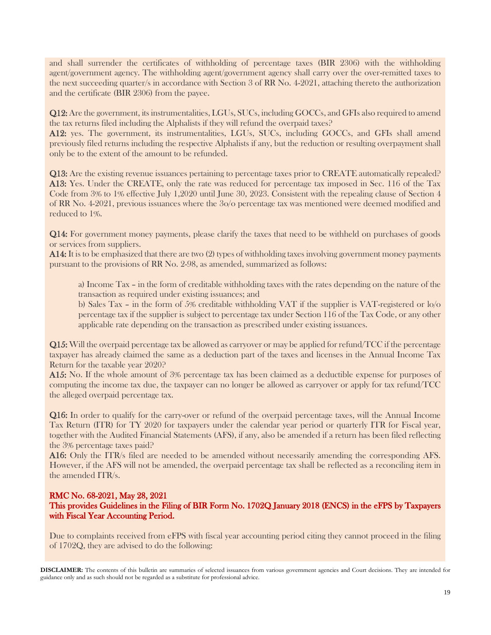and shall surrender the certificates of withholding of percentage taxes (BIR 2306) with the withholding agent/government agency. The withholding agent/government agency shall carry over the over-remitted taxes to the next succeeding quarter/s in accordance with Section 3 of RR No. 4-2021, attaching thereto the authorization and the certificate (BIR 2306) from the payee.

Q12: Are the government, its instrumentalities, LGUs, SUCs, including GOCCs, and GFIs also required to amend the tax returns filed including the Alphalists if they will refund the overpaid taxes?

A12: yes. The government, its instrumentalities, LGUs, SUCs, including GOCCs, and GFIs shall amend previously filed returns including the respective Alphalists if any, but the reduction or resulting overpayment shall only be to the extent of the amount to be refunded.

Q13: Are the existing revenue issuances pertaining to percentage taxes prior to CREATE automatically repealed? A13: Yes. Under the CREATE, only the rate was reduced for percentage tax imposed in Sec. 116 of the Tax Code from 3% to 1% effective July 1,2020 until June 30, 2023. Consistent with the repealing clause of Section 4 of RR No. 4-2021, previous issuances where the 3o/o percentage tax was mentioned were deemed modified and reduced to 1%.

Q14: For government money payments, please clarify the taxes that need to be withheld on purchases of goods or services from suppliers.

A14: It is to be emphasized that there are two (2) types of withholding taxes involving government money payments pursuant to the provisions of RR No. 2-98, as amended, summarized as follows:

a) Income Tax – in the form of creditable withholding taxes with the rates depending on the nature of the transaction as required under existing issuances; and

b) Sales Tax – in the form of 5% creditable withholding VAT if the supplier is VAT-registered or lo/o percentage tax if the supplier is subject to percentage tax under Section 116 of the Tax Code, or any other applicable rate depending on the transaction as prescribed under existing issuances.

Q15: Will the overpaid percentage tax be allowed as carryover or may be applied for refund/TCC if the percentage taxpayer has already claimed the same as a deduction part of the taxes and licenses in the Annual Income Tax Return for the taxable year 2020?

A15: No. If the whole amount of 3% percentage tax has been claimed as a deductible expense for purposes of computing the income tax due, the taxpayer can no longer be allowed as carryover or apply for tax refund/TCC the alleged overpaid percentage tax.

Q16: In order to qualify for the carry-over or refund of the overpaid percentage taxes, will the Annual Income Tax Return (ITR) for TY 2020 for taxpayers under the calendar year period or quarterly ITR for Fiscal year, together with the Audited Financial Statements (AFS), if any, also be amended if a return has been filed reflecting the 3% percentage taxes paid?

A16: Only the ITR/s filed are needed to be amended without necessarily amending the corresponding AFS. However, if the AFS will not be amended, the overpaid percentage tax shall be reflected as a reconciling item in the amended ITR/s.

#### RMC No. 68-2021, May 28, 2021 This provides Guidelines in the Filing of BIR Form No. 1702Q January 2018 (ENCS) in the eFPS by Taxpayers with Fiscal Year Accounting Period.

Due to complaints received from eFPS with fiscal year accounting period citing they cannot proceed in the filing of 1702Q, they are advised to do the following: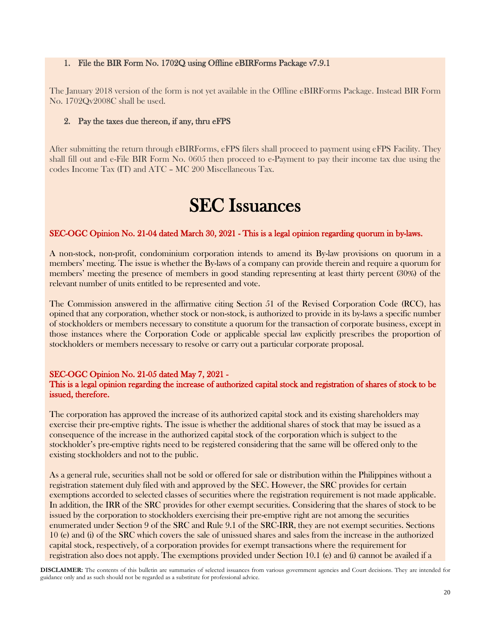#### 1. File the BIR Form No. 1702Q using Offline eBIRForms Package v7.9.1

The January 2018 version of the form is not yet available in the Offline eBIRForms Package. Instead BIR Form No. 1702Qv2008C shall be used.

#### 2. Pay the taxes due thereon, if any, thru eFPS

After submitting the return through eBIRForms, eFPS filers shall proceed to payment using eFPS Facility. They shall fill out and e-File BIR Form No. 0605 then proceed to e-Payment to pay their income tax due using the codes Income Tax (IT) and ATC – MC 200 Miscellaneous Tax.

# SEC Issuances

#### SEC-OGC Opinion No. 21-04 dated March 30, 2021 - This is a legal opinion regarding quorum in by-laws.

A non-stock, non-profit, condominium corporation intends to amend its By-law provisions on quorum in a members' meeting. The issue is whether the By-laws of a company can provide therein and require a quorum for members' meeting the presence of members in good standing representing at least thirty percent (30%) of the relevant number of units entitled to be represented and vote.

The Commission answered in the affirmative citing Section 51 of the Revised Corporation Code (RCC), has opined that any corporation, whether stock or non-stock, is authorized to provide in its by-laws a specific number of stockholders or members necessary to constitute a quorum for the transaction of corporate business, except in those instances where the Corporation Code or applicable special law explicitly prescribes the proportion of stockholders or members necessary to resolve or carry out a particular corporate proposal.

#### SEC-OGC Opinion No. 21-05 dated May 7, 2021 -

#### This is a legal opinion regarding the increase of authorized capital stock and registration of shares of stock to be issued, therefore.

The corporation has approved the increase of its authorized capital stock and its existing shareholders may exercise their pre-emptive rights. The issue is whether the additional shares of stock that may be issued as a consequence of the increase in the authorized capital stock of the corporation which is subject to the stockholder's pre-emptive rights need to be registered considering that the same will be offered only to the existing stockholders and not to the public.

As a general rule, securities shall not be sold or offered for sale or distribution within the Philippines without a registration statement duly filed with and approved by the SEC. However, the SRC provides for certain exemptions accorded to selected classes of securities where the registration requirement is not made applicable. In addition, the IRR of the SRC provides for other exempt securities. Considering that the shares of stock to be issued by the corporation to stockholders exercising their pre-emptive right are not among the securities enumerated under Section 9 of the SRC and Rule 9.1 of the SRC-IRR, they are not exempt securities. Sections 10 (e) and (i) of the SRC which covers the sale of unissued shares and sales from the increase in the authorized capital stock, respectively, of a corporation provides for exempt transactions where the requirement for registration also does not apply. The exemptions provided under Section 10.1 (e) and (i) cannot be availed if a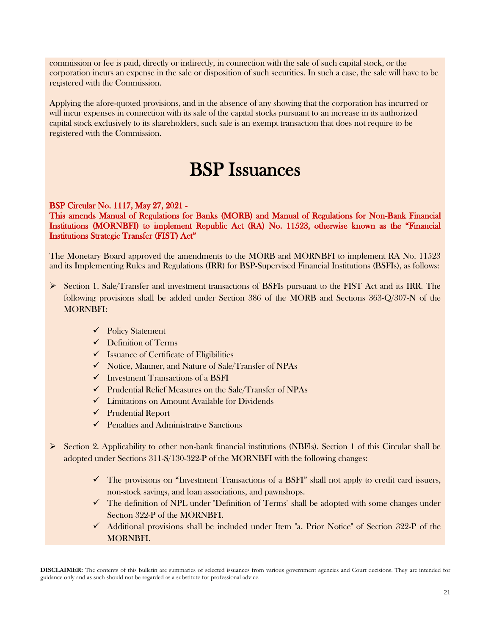commission or fee is paid, directly or indirectly, in connection with the sale of such capital stock, or the corporation incurs an expense in the sale or disposition of such securities. In such a case, the sale will have to be registered with the Commission.

Applying the afore-quoted provisions, and in the absence of any showing that the corporation has incurred or will incur expenses in connection with its sale of the capital stocks pursuant to an increase in its authorized capital stock exclusively to its shareholders, such sale is an exempt transaction that does not require to be registered with the Commission.

# BSP Issuances

#### BSP Circular No. 1117, May 27, 2021 -

This amends Manual of Regulations for Banks (MORB) and Manual of Regulations for Non-Bank Financial Institutions (MORNBFI) to implement Republic Act (RA) No. 11523, otherwise known as the "Financial Institutions Strategic Transfer (FIST) Act"

The Monetary Board approved the amendments to the MORB and MORNBFI to implement RA No. 11523 and its Implementing Rules and Regulations (IRR) for BSP-Supervised Financial Institutions (BSFIs), as follows:

- ➢ Section 1. Sale/Transfer and investment transactions of BSFIs pursuant to the FIST Act and its IRR. The following provisions shall be added under Section 386 of the MORB and Sections 363-Q/307-N of the MORNBFI:
	- ✓ Policy Statement
	- $\checkmark$  Definition of Terms
	- $\checkmark$  Issuance of Certificate of Eligibilities
	- ✓ Notice, Manner, and Nature of Sale/Transfer of NPAs
	- $\checkmark$  Investment Transactions of a BSFI
	- ✓ Prudential Relief Measures on the Sale/Transfer of NPAs
	- ✓ Limitations on Amount Available for Dividends
	- ✓ Prudential Report
	- $\checkmark$  Penalties and Administrative Sanctions
- $\triangleright$  Section 2. Applicability to other non-bank financial institutions (NBFls). Section 1 of this Circular shall be adopted under Sections 311-S/130-322-P of the MORNBFI with the following changes:
	- ✓ The provisions on "Investment Transactions of a BSFI" shall not apply to credit card issuers, non-stock savings, and loan associations, and pawnshops.
	- ✓ The definition of NPL under "Definition of Terms" shall be adopted with some changes under Section 322-P of the MORNBFI.
	- $\checkmark$  Additional provisions shall be included under Item "a. Prior Notice" of Section 322-P of the MORNBFI.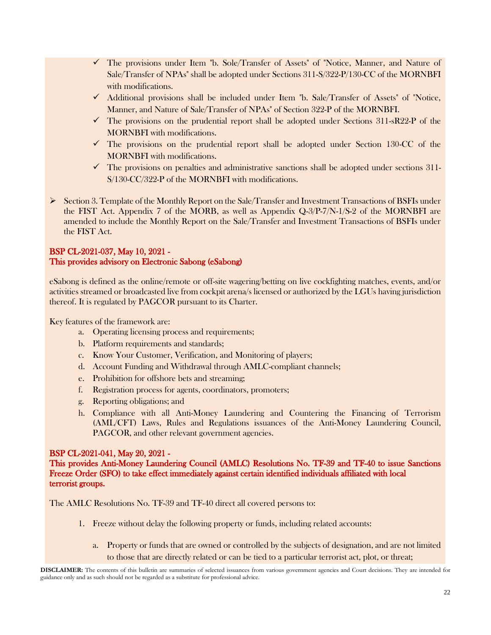- $\checkmark$  The provisions under Item "b. Sole/Transfer of Assets" of "Notice, Manner, and Nature of Sale/Transfer of NPAs" shall be adopted under Sections 311-S/322-P/130-CC of the MORNBFI with modifications.
- ✓ Additional provisions shall be included under Item "b. Sale/Transfer of Assets" of "Notice, Manner, and Nature of Sale/Transfer of NPAs" of Section 322-P of the MORNBFI.
- $\checkmark$  The provisions on the prudential report shall be adopted under Sections 311-sR22-P of the MORNBFI with modifications.
- $\checkmark$  The provisions on the prudential report shall be adopted under Section 130-CC of the MORNBFI with modifications.
- $\checkmark$  The provisions on penalties and administrative sanctions shall be adopted under sections 311-S/130-CC/322-P of the MORNBFI with modifications.
- ➢ Section 3. Template of the Monthly Report on the Sale/Transfer and Investment Transactions of BSFIs under the FIST Act. Appendix 7 of the MORB, as well as Appendix Q-3/P-7/N-1/S-2 of the MORNBFI are amended to include the Monthly Report on the Sale/Transfer and Investment Transactions of BSFIs under the FIST Act.

### BSP CL-2021-037, May 10, 2021 - This provides advisory on Electronic Sabong (eSabong)

eSabong is defined as the online/remote or off-site wagering/betting on live cockfighting matches, events, and/or activities streamed or broadcasted live from cockpit arena/s licensed or authorized by the LGUs having jurisdiction thereof. It is regulated by PAGCOR pursuant to its Charter.

Key features of the framework are:

- a. Operating licensing process and requirements;
- b. Platform requirements and standards;
- c. Know Your Customer, Verification, and Monitoring of players;
- d. Account Funding and Withdrawal through AMLC-compliant channels;
- e. Prohibition for offshore bets and streaming;
- f. Registration process for agents, coordinators, promoters;
- g. Reporting obligations; and
- h. Compliance with all Anti-Money Laundering and Countering the Financing of Terrorism (AML/CFT) Laws, Rules and Regulations issuances of the Anti-Money Laundering Council, PAGCOR, and other relevant government agencies.

#### BSP CL-2021-041, May 20, 2021 -

This provides Anti-Money Laundering Council (AMLC) Resolutions No. TF-39 and TF-40 to issue Sanctions Freeze Order (SFO) to take effect immediately against certain identified individuals affiliated with local terrorist groups.

The AMLC Resolutions No. TF-39 and TF-40 direct all covered persons to:

- 1. Freeze without delay the following property or funds, including related accounts:
	- a. Property or funds that are owned or controlled by the subjects of designation, and are not limited to those that are directly related or can be tied to a particular terrorist act, plot, or threat;

**DISCLAIMER:** The contents of this bulletin are summaries of selected issuances from various government agencies and Court decisions. They are intended for guidance only and as such should not be regarded as a substitute for professional advice.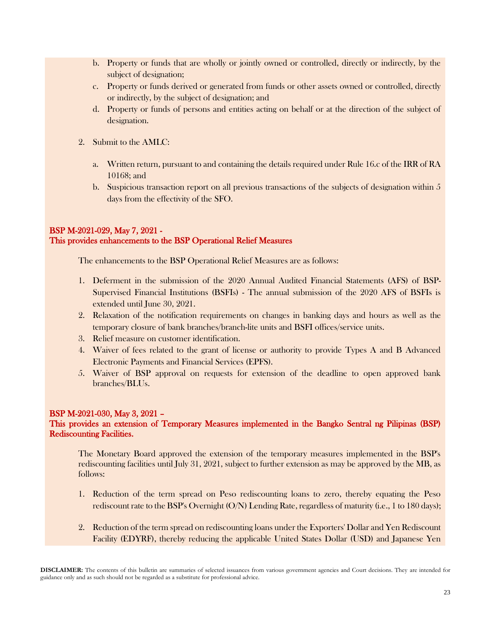- b. Property or funds that are wholly or jointly owned or controlled, directly or indirectly, by the subject of designation;
- c. Property or funds derived or generated from funds or other assets owned or controlled, directly or indirectly, by the subject of designation; and
- d. Property or funds of persons and entities acting on behalf or at the direction of the subject of designation.
- 2. Submit to the AMLC:
	- a. Written return, pursuant to and containing the details required under Rule 16.c of the IRR of RA 10168; and
	- b. Suspicious transaction report on all previous transactions of the subjects of designation within 5 days from the effectivity of the SFO.

#### BSP M-2021-029, May 7, 2021 - This provides enhancements to the BSP Operational Relief Measures

The enhancements to the BSP Operational Relief Measures are as follows:

- 1. Deferment in the submission of the 2020 Annual Audited Financial Statements (AFS) of BSP-Supervised Financial Institutions (BSFIs) - The annual submission of the 2020 AFS of BSFIs is extended until June 30, 2021.
- 2. Relaxation of the notification requirements on changes in banking days and hours as well as the temporary closure of bank branches/branch-lite units and BSFI offices/service units.
- 3. Relief measure on customer identification.
- 4. Waiver of fees related to the grant of license or authority to provide Types A and B Advanced Electronic Payments and Financial Services (EPFS).
- 5. Waiver of BSP approval on requests for extension of the deadline to open approved bank branches/BLUs.

#### BSP M-2021-030, May 3, 2021 –

#### This provides an extension of Temporary Measures implemented in the Bangko Sentral ng Pilipinas (BSP) Rediscounting Facilities.

The Monetary Board approved the extension of the temporary measures implemented in the BSP's rediscounting facilities until July 31, 2021, subject to further extension as may be approved by the MB, as follows:

- 1. Reduction of the term spread on Peso rediscounting loans to zero, thereby equating the Peso rediscount rate to the BSP's Overnight (O/N) Lending Rate, regardless of maturity (i.e., 1 to 180 days);
- 2. Reduction of the term spread on rediscounting loans under the Exporters' Dollar and Yen Rediscount Facility (EDYRF), thereby reducing the applicable United States Dollar (USD) and Japanese Yen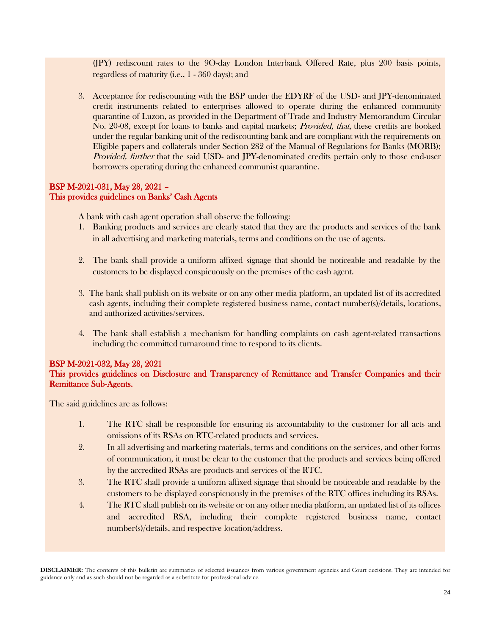(JPY) rediscount rates to the 9O-day London Interbank Offered Rate, plus 200 basis points, regardless of maturity (i.e., 1 - 360 days); and

3. Acceptance for rediscounting with the BSP under the EDYRF of the USD- and JPY-denominated credit instruments related to enterprises allowed to operate during the enhanced community quarantine of Luzon, as provided in the Department of Trade and Industry Memorandum Circular No. 20-08, except for loans to banks and capital markets; *Provided, that*, these credits are booked under the regular banking unit of the rediscounting bank and are compliant with the requirements on Eligible papers and collaterals under Section 282 of the Manual of Regulations for Banks (MORB); Provided, further that the said USD- and JPY-denominated credits pertain only to those end-user borrowers operating during the enhanced communist quarantine.

#### BSP M-2021-031, May 28, 2021 – This provides guidelines on Banks' Cash Agents

A bank with cash agent operation shall observe the following:

- 1. Banking products and services are clearly stated that they are the products and services of the bank in all advertising and marketing materials, terms and conditions on the use of agents.
- 2. The bank shall provide a uniform affixed signage that should be noticeable and readable by the customers to be displayed conspicuously on the premises of the cash agent.
- 3. The bank shall publish on its website or on any other media platform, an updated list of its accredited cash agents, including their complete registered business name, contact number(s)/details, locations, and authorized activities/services.
- 4. The bank shall establish a mechanism for handling complaints on cash agent-related transactions including the committed turnaround time to respond to its clients.

### BSP M-2021-032, May 28, 2021

#### This provides guidelines on Disclosure and Transparency of Remittance and Transfer Companies and their Remittance Sub-Agents.

The said guidelines are as follows:

- 1. The RTC shall be responsible for ensuring its accountability to the customer for all acts and omissions of its RSAs on RTC-related products and services.
- 2. In all advertising and marketing materials, terms and conditions on the services, and other forms of communication, it must be clear to the customer that the products and services being offered by the accredited RSAs are products and services of the RTC.
- 3. The RTC shall provide a uniform affixed signage that should be noticeable and readable by the customers to be displayed conspicuously in the premises of the RTC offices including its RSAs.
- 4. The RTC shall publish on its website or on any other media platform, an updated list of its offices and accredited RSA, including their complete registered business name, contact number(s)/details, and respective location/address.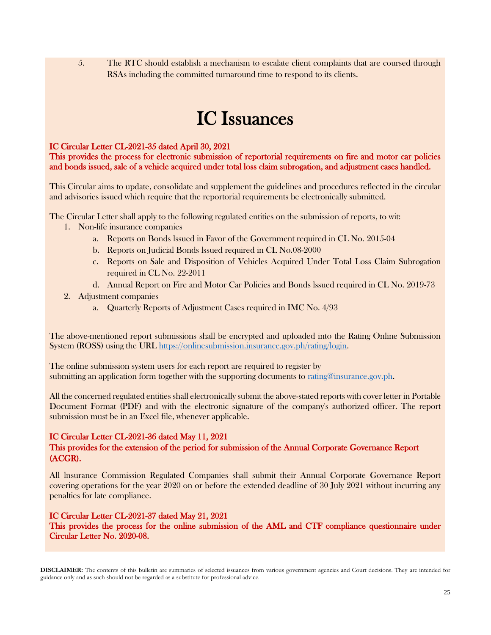5. The RTC should establish a mechanism to escalate client complaints that are coursed through RSAs including the committed turnaround time to respond to its clients.

# IC Issuances

#### IC Circular Letter CL-2021-35 dated April 30, 2021

This provides the process for electronic submission of reportorial requirements on fire and motor car policies and bonds issued, sale of a vehicle acquired under total loss claim subrogation, and adjustment cases handled.

This Circular aims to update, consolidate and supplement the guidelines and procedures reflected in the circular and advisories issued which require that the reportorial requirements be electronically submitted.

The Circular Letter shall apply to the following regulated entities on the submission of reports, to wit:

- 1. Non-life insurance companies
	- a. Reports on Bonds lssued in Favor of the Government required in CL No. 2015-04
	- b. Reports on Judicial Bonds lssued required in CL No.08-2000
	- c. Reports on Sale and Disposition of Vehicles Acquired Under Total Loss Claim Subrogation required in CL No. 22-2011
	- d. Annual Report on Fire and Motor Car Policies and Bonds lssued required in CL No. 2019-73
- 2. Adjustment companies
	- a. Quarterly Reports of Adjustment Cases required in IMC No. 4/93

The above-mentioned report submissions shall be encrypted and uploaded into the Rating Online Submission System (ROSS) using the URL [https://onlinesubmission.insurance.gov.ph/rating/login.](https://onlinesubmission.insurance.gov.ph/rating/login)

The online submission system users for each report are required to register by submitting an application form together with the supporting documents to [rating@insurance.gov.ph.](file:///C:/Users/MAP/Downloads/rating@insurance.gov.ph)

All the concerned regulated entities shall electronically submit the above-stated reports with cover letter in Portable Document Format (PDF) and with the electronic signature of the company's authorized officer. The report submission must be in an Excel file, whenever applicable.

#### IC Circular Letter CL-2021-36 dated May 11, 2021

#### This provides for the extension of the period for submission of the Annual Corporate Governance Report (ACGR).

All lnsurance Commission Regulated Companies shall submit their Annual Corporate Governance Report covering operations for the year 2020 on or before the extended deadline of 30 July 2021 without incurring any penalties for late compliance.

#### IC Circular Letter CL-2021-37 dated May 21, 2021

This provides the process for the online submission of the AML and CTF compliance questionnaire under Circular Letter No. 2020-08.